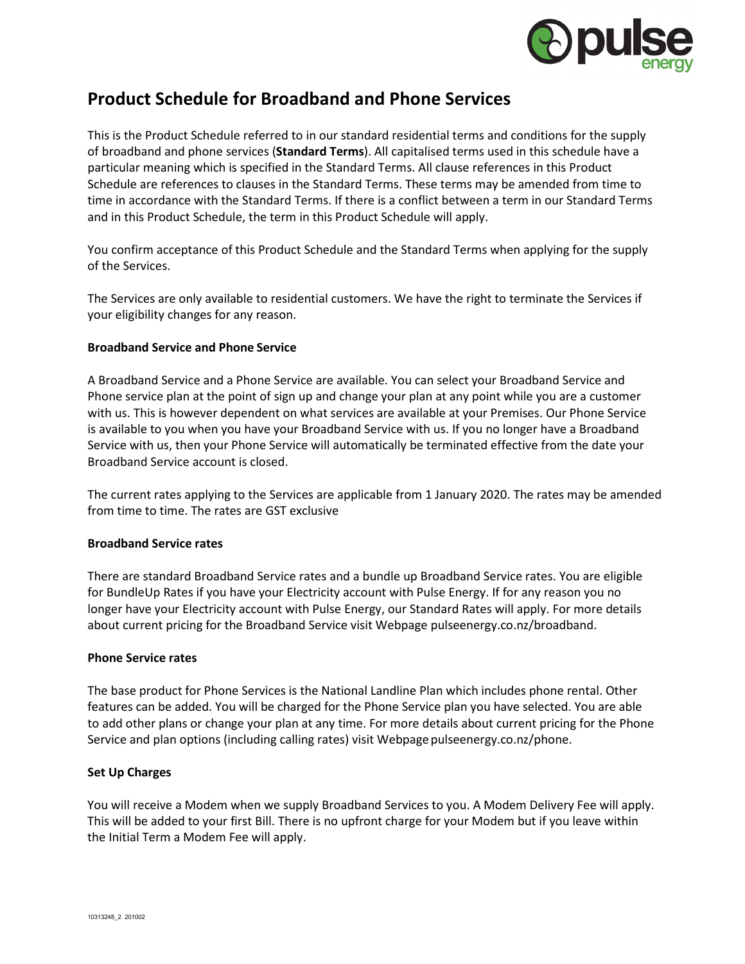

# **Product Schedule for Broadband and Phone Services**

This is the Product Schedule referred to in our standard residential terms and conditions for the supply of broadband and phone services (**Standard Terms**). All capitalised terms used in this schedule have a particular meaning which is specified in the Standard Terms. All clause references in this Product Schedule are references to clauses in the Standard Terms. These terms may be amended from time to time in accordance with the Standard Terms. If there is a conflict between a term in our Standard Terms and in this Product Schedule, the term in this Product Schedule will apply.

You confirm acceptance of this Product Schedule and the Standard Terms when applying for the supply of the Services.

The Services are only available to residential customers. We have the right to terminate the Services if your eligibility changes for any reason.

# **Broadband Service and Phone Service**

A Broadband Service and a Phone Service are available. You can select your Broadband Service and Phone service plan at the point of sign up and change your plan at any point while you are a customer with us. This is however dependent on what services are available at your Premises. Our Phone Service is available to you when you have your Broadband Service with us. If you no longer have a Broadband Service with us, then your Phone Service will automatically be terminated effective from the date your Broadband Service account is closed.

The current rates applying to the Services are applicable from 1 January 2020. The rates may be amended from time to time. The rates are GST exclusive

# **Broadband Service rates**

There are standard Broadband Service rates and a bundle up Broadband Service rates. You are eligible for BundleUp Rates if you have your Electricity account with Pulse Energy. If for any reason you no longer have your Electricity account with Pulse Energy, our Standard Rates will apply. For more details about current pricing for the Broadband Service visit Webpage pulseenergy.co.nz/broadband.

# **Phone Service rates**

The base product for Phone Services is the National Landline Plan which includes phone rental. Other features can be added. You will be charged for the Phone Service plan you have selected. You are able to add other plans or change your plan at any time. For more details about current pricing for the Phone Service and plan options (including calling rates) visit Webpage pulseenergy.co.nz/phone.

# **Set Up Charges**

You will receive a Modem when we supply Broadband Services to you. A Modem Delivery Fee will apply. This will be added to your first Bill. There is no upfront charge for your Modem but if you leave within the Initial Term a Modem Fee will apply.